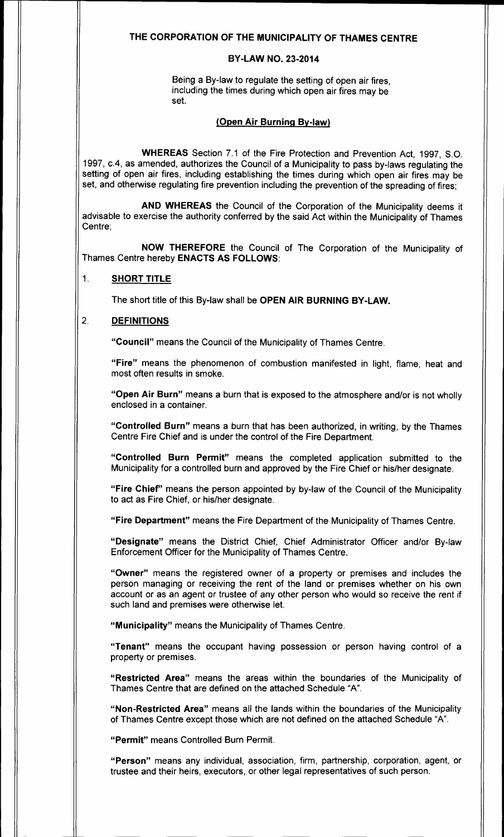### THE CORPORATION OF THE MUNICIPALITY OF THAMES CENTRE

#### BY-LAW NO. 23-2014

Being a By-law to regulate the setting of open air fires, including the times during which open air fires may be set.

#### Open Air Burning By-law)

WHEREAS Section 7.1 of the Fire Protection and Prevention Act, 1997, S.O. 1997, c.4, as amended, authorizes the Council of a Municipality to pass by-laws regulating the setting of open air fires, including establishing the times during which open air fires may be set, and otherwise regulating fire prevention including the prevention of the spreading of fires;

AND WHEREAS the Council of the Corporation of the Municipality deems it advisable to exercise the authority conferred by the said Act within the Municipality of Thames Centre;

NOW THEREFORE the Council of The Corporation of the Municipality of Thames Centre hereby ENACTS AS FOLLOWS:

#### 1. SHORT TITLE

The short title of this By-law shall be OPEN AIR BURNING BY-LAW.

#### 2. DEFINITIONS

Council" means the Council of the Municipality of Thames Centre.

Fire" means the phenomenon of combustion manifested in light, flame, heat and most often results in smoke.

"Open Air Burn" means a burn that is exposed to the atmosphere and/or is not wholly enclosed in a container.

Controlled Burn" means <sup>a</sup> burn that has been authorized, in writing, by the Thames Centre Fire Chief and is under the control of the Fire Department.

Controlled Burn Permit" means the completed application submitted to the Municipality for a controlled burn and approved by the Fire Chief or his/her designate.

"Fire Chief" means the person appointed by by-law of the Council of the Municipality to act as Fire Chief, or his/her designate.

Fire Department" means the Fire Department of the Municipality of Thames Centre.

Designate" means the District Chief, Chief Administrator Officer and/or By-law Enforcement Officer for the Municipality of Thames Centre.

Owner" means the registered owner of <sup>a</sup> property or premises and includes the person managing or receiving the rent of the land or premises whether on his own account or as an agent or trustee of any other person who would so receive the rent if such land and premises were otherwise let.

"Municipality" means the Municipality of Thames Centre.

Tenant" means the occupant having possession or person having control of <sup>a</sup> property or premises.

Restricted Area" means the areas within the boundaries of the Municipality of Thames Centre that are defined on the attached Schedule "A".

"Non-Restricted Area" means all the lands within the boundaries of the Municipality of Thames Centre except those which are not defined on the attached Schedule "A".

Permit" means Controlled Burn Permit.

Person" means any individual, association, firm, partnership, corporation, agent, or trustee and their heirs, executors, or other legal representatives of such person.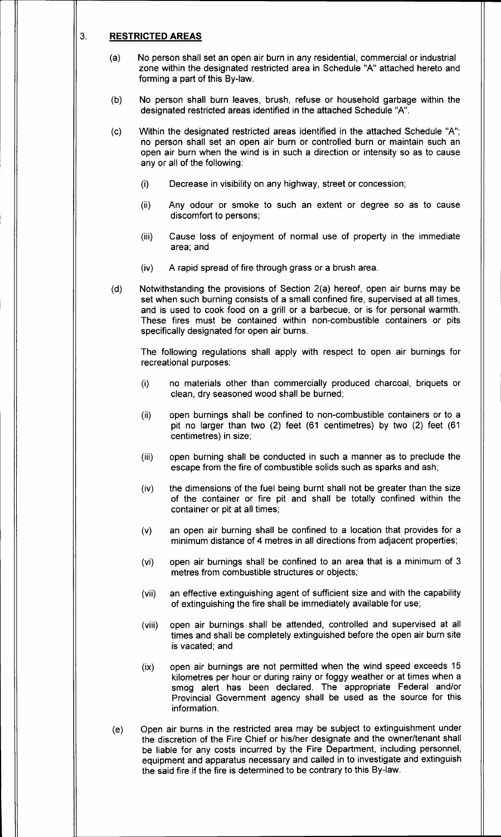#### 3. RESTRICTED AREAS

- a) No person shall set an open air burn in any residential, commercial or industrial zone within the designated restricted area in Schedule "A" attached hereto and forming a part of this By-law.
- b) No person shall burn leaves, brush, refuse or household garbage within the designated restricted areas identified in the attached Schedule "A".
- c) Within the designated restricted areas identified in the attached Schedule " A"; no person shall set an open air burn or controlled burn or maintain such an open air burn when the wind is in such a direction or intensity so as to cause any or all of the following:
	- $(i)$  Decrease in visibility on any highway, street or concession;
	- ii) Any odour or smoke to such an extent or degree so as to cause discomfort to persons;
	- iii) Cause loss of enjoyment of normal use of property in the immediate area; and
	- iv) A rapid spread of fire through grass or a brush area.
- (d) Notwithstanding the provisions of Section 2(a) hereof, open air burns may be set when such burning consists of a small confined fire, supervised at all times, and is used to cook food on a grill or a barbecue, or is for personal warmth. These fires must be contained within non-combustible containers or pits specifically designated for open air burns.

The following regulations shall apply with respect to open air burnings for recreational purposes:

- i) no materials other than commercially produced charcoal, briquets or clean, dry seasoned wood shall be burned;
- ii) open burnings shall be confined to non- combustible containers or to a pit no larger than two  $(2)$  feet  $(61$  centimetres) by two  $(2)$  feet  $(61)$ centimetres) in size;
- iii) open burning shall be conducted in such a manner as to preclude the escape from the fire of combustible solids such as sparks and ash;
- iv) the dimensions of the fuel being burnt shall not be greater than the size of the container or fire pit and shall be totally confined within the container or pit at all times;
- v) an open air burning shall be confined to a location that provides for a minimum distance of 4 metres in all directions from adjacent properties;
- vi) open air burnings shall be confined to an area that is a minimum of 3 metres from combustible structures or objects;
- vii) an effective extinguishing agent of sufficient size and with the capability of extinguishing the fire shall be immediately available for use;
- viii) open air burnings shall be attended, controlled and supervised at all times and shall be completely extinguished before the open air burn site is vacated; and
- ix) open air burnings are not permitted when the wind speed exceeds 15 kilometres per hour or during rainy or foggy weather or at times when a smog alert has been declared. The appropriate Federal and/or Provincial Government agency shall be used as the source for this information.
- e) Open air burns in the restricted area may be subject to extinguishment under the discretion of the Fire Chief or his/her designate and the owner/tenant shall be liable for any costs incurred by the Fire Department, including personnel, equipment and apparatus necessary and called in to investigate and extinguish the said fire if the fire is determined to be contrary to this By-law.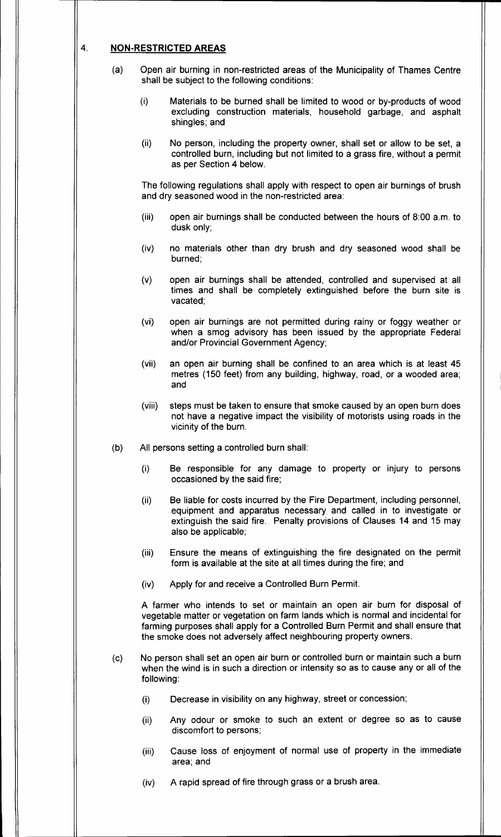### 4. NON-RESTRICTED AREAS

- a) Open air burning in non- restricted areas of the Municipality of Thames Centre shall be subject to the following conditions:
	- (i) Materials to be burned shall be limited to wood or by-products of wood excluding construction materials, household garbage, and asphalt shingles; and
	- ii) No person, including the property owner, shall set or allow to be set, a controlled burn, including but not limited to a grass fire, without a permit as per Section 4 below.

The following regulations shall apply with respect to open air burnings of brush and dry seasoned wood in the non-restricted area:

- (iii) open air burnings shall be conducted between the hours of 8:00 a.m. to dusk only;
- iv) no materials other than dry brush and dry seasoned wood shall be burned;
- v) open air burnings shall be attended, controlled and supervised at all times and shall be completely extinguished before the burn site is vacated;
- vi) open air burnings are not permitted during rainy or foggy weather or when a smog advisory has been issued by the appropriate Federal and/or Provincial Government Agency;
- vii) an open air burning shall be confined to an area which is at least 45 metres ( 150 feet) from any building, highway, road, or a wooded area; and
- viii) steps must be taken to ensure that smoke caused by an open burn does not have a negative impact the visibility of motorists using roads in the vicinity of the burn.
- b) All persons setting a controlled burn shall:
	- i) Be responsible for any damage to property or injury to persons occasioned by the said fire;
	- ii) Be liable for costs incurred by the Fire Department, including personnel, equipment and apparatus necessary and called in to investigate or extinguish the said fire. Penalty provisions of Clauses 14 and 15 may also be applicable;
	- iii) Ensure the means of extinguishing the fire designated on the permit form is available at the site at all times during the fire; and
	- iv) Apply for and receive a Controlled Burn Permit.

A farmer who intends to set or maintain an open air burn for disposal of vegetable matter or vegetation on farm lands which is normal and incidental for farming purposes shall apply for a Controlled Burn Permit and shall ensure that the smoke does not adversely affect neighbouring property owners.

- c) No person shall set an open air burn or controlled burn or maintain such a burn when the wind is in such a direction or intensity so as to cause any or all of the following:
	- i) Decrease in visibility on any highway, street or concession;
	- ii) Any odour or smoke to such an extent or degree so as to cause discomfort to persons;
	- iii) Cause loss of enjoyment of normal use of property in the immediate area; and
	- iv) A rapid spread of fire through grass or a brush area.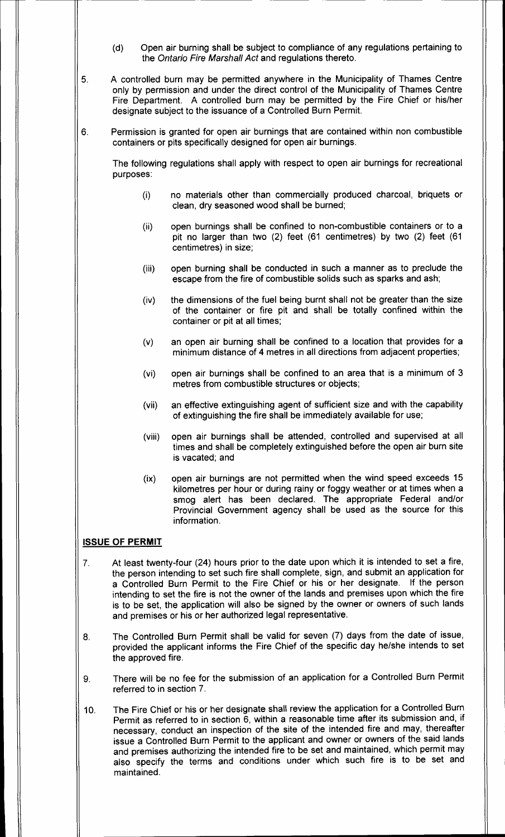- d) Open air burning shall be subject to compliance of any regulations pertaining to the Ontario Fire Marshall Act and regulations thereto.
- 5. A controlled burn may be permitted anywhere in the Municipality of Thames Centre only by permission and under the direct control of the Municipality of Thames Centre Fire Department. A controlled burn may be permitted by the Fire Chief or his/her designate subject to the issuance of a Controlled Burn Permit.
- 6. Permission is granted for open air burnings that are contained within non combustible containers or pits specifically designed for open air burnings.

The following regulations shall apply with respect to open air burnings for recreational purposes:

- i) no materials other than commercially produced charcoal, briquets or clean, dry seasoned wood shall be burned;
- ii) open burnings shall be confined to non- combustible containers or to a pit no larger than two (2) feet (61 centimetres) by two (2) feet (61 centimetres) in size;
- iii) open burning shall be conducted in such a manner as to preclude the escape from the fire of combustible solids such as sparks and ash;
- iv) the dimensions of the fuel being burnt shall not be greater than the size of the container or fire pit and shall be totally confined within the container or pit at all times;
- v) an open air burning shall be confined to a location that provides for a minimum distance of 4 metres in all directions from adjacent properties;
- vi) open air burnings shall be confined to an area that is a minimum of 3 metres from combustible structures or objects;
- vii) an effective extinguishing agent of sufficient size and with the capability of extinguishing the fire shall be immediately available for use;
- viii) open air burnings shall be attended, controlled and supervised at all times and shall be completely extinguished before the open air burn site is vacated; and
- ix) open air burnings are not permitted when the wind speed exceeds 15 kilometres per hour or during rainy or foggy weather or at times when a smog alert has been declared. The appropriate Federal and/or Provincial Government agency shall be used as the source for this information.

# ISSUE OF PERMIT

- 7. At least twenty-four (24) hours prior to the date upon which it is intended to set a fire, the person intending to set such fire shall complete, sign, and submit an application for a Controlled Burn Permit to the Fire Chief or his or her designate. If the person intending to set the fire is not the owner of the lands and premises upon which the fire is to be set, the application will also be signed by the owner or owners of such lands and premises or his or her authorized legal representative.
- 8. The Controlled Burn Permit shall be valid for seven (7) days from the date of issue, provided the applicant informs the Fire Chief of the specific day he/she intends to set the approved fire.
- 9. There will be no fee for the submission of an application for a Controlled Burn Permit referred to in section 7.
- 10. The Fire Chief or his or her designate shall review the application for a Controlled Burn Permit as referred to in section 6, within a reasonable time after its submission and, if necessary, conduct an inspection of the site of the intended fire and may, thereafter issue a Controlled Burn Permit to the applicant and owner or owners of the said lands and premises authorizing the intended fire to be set and maintained, which permit may also specify the terms and conditions under which such fire is to be set and maintained.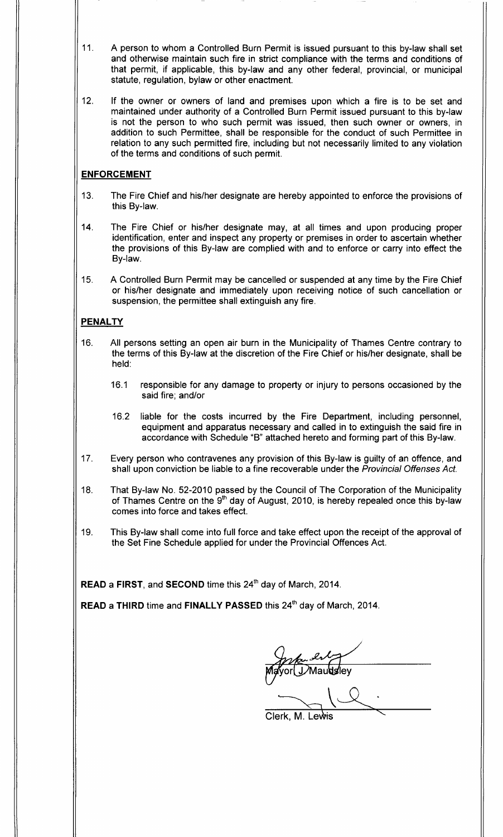- 11. A person to whom a Controlled Burn Permit is issued pursuant to this by-law shall set and otherwise maintain such fire in strict compliance with the terms and conditions of that permit, if applicable, this by-law and any other federal, provincial, or municipal statute, regulation, bylaw or other enactment.
- 12. If the owner or owners of land and premises upon which a fire is to be set and maintained under authority of a Controlled Burn Permit issued pursuant to this by-law is not the person to who such permit was issued, then such owner or owners, in addition to such Permittee, shall be responsible for the conduct of such Permittee in relation to any such permitted fire, including but not necessarily limited to any violation of the terms and conditions of such permit.

### ENFORCEMENT

- 13. The Fire Chief and his/her designate are hereby appointed to enforce the provisions of this By-law.
- 14. The Fire Chief or his/her designate may, at all times and upon producing proper identification, enter and inspect any property or premises in order to ascertain whether the provisions of this By-law are complied with and to enforce or carry into effect the By-law.
- 15. A Controlled Burn Permit may be cancelled or suspended at any time by the Fire Chief or his/her designate and immediately upon receiving notice of such cancellation or suspension, the permittee shall extinguish any fire.

### PENALTY

- 16. All persons setting an open air burn in the Municipality of Thames Centre contrary to the terms of this By-law at the discretion of the Fire Chief or his/her designate, shall be held:
	- 16. <sup>1</sup> responsible for any damage to property or injury to persons occasioned by the said fire; and/or
	- 16.2 liable for the costs incurred by the Fire Department, including personnel, equipment and apparatus necessary and called in to extinguish the said fire in accordance with Schedule "B" attached hereto and forming part of this By-law.
- 17. Every person who contravenes any provision of this By-law is guilty of an offence, and shall upon conviction be liable to a fine recoverable under the Provincial Offenses Act.
- 18. That By-law No. 52-2010 passed by the Council of The Corporation of the Municipality of Thames Centre on the 9<sup>th</sup> day of August, 2010, is hereby repealed once this by-law comes into force and takes effect.
- 19. This By-law shall come into full force and take effect upon the receipt of the approval of the Set Fine Schedule applied for under the Provincial Offences Act.

 $\mathsf{READ}\xspace$  a FIRST, and  $\mathsf{SECOND}\xspace$  time this  $24^\mathsf{th}\xspace$  day of March, 2014.

READ a THIRD time and FINALLY PASSED this 24<sup>th</sup> day of March, 2014.

Mayor DMaudsley

Clerk, M. Lewis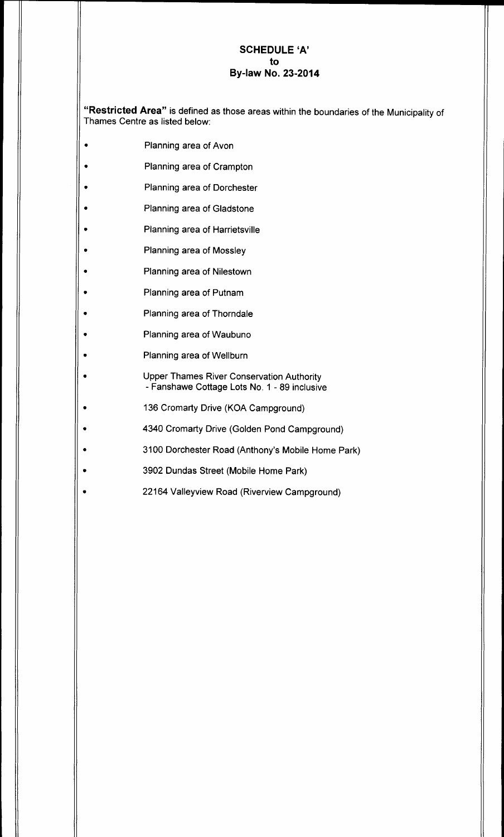# SCHEDULE `A' to **By-law No. 23-2014**

Restricted Area" is defined as those areas within the boundaries of the Municipality of Thames Centre as listed below:

- Planning area of Avon
- Planning area of Crampton
- Planning area of Dorchester
- Planning area of Gladstone
- Planning area of Harrietsville
- Planning area of Mossley
- Planning area of Nilestown
- Planning area of Putnam
- Planning area of Thorndale
- Planning area of Waubuno
- Planning area of Wellburn
	- Upper Thames River Conservation Authority Fanshawe Cottage Lots No. 1 - 89 inclusive
- 136 Cromarty Drive (KOA Campground)
- 4340 Cromarty Drive (Golden Pond Campground)
- 3100 Dorchester Road (Anthony's Mobile Home Park)
- 3902 Dundas Street (Mobile Home Park)
- 22164 Valleyview Road (Riverview Campground)